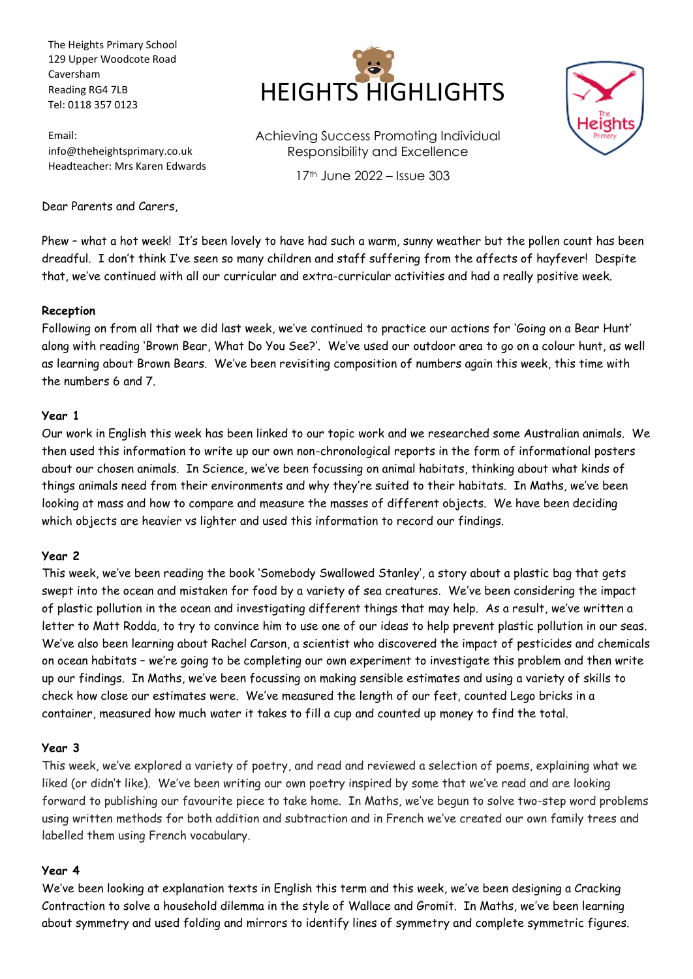The Heights Primary School 129 Upper Woodcote Road Caversham Reading RG4 7LB Tel: 0118 357 0123

Email: info@theheightsprimary.co.uk Headteacher: Mrs Karen Edwards



Achieving Success Promoting Individual Responsibility and Excellence 17th June 2022 – Issue 303



Dear Parents and Carers,

Phew – what a hot week! It's been lovely to have had such a warm, sunny weather but the pollen count has been dreadful. I don't think I've seen so many children and staff suffering from the affects of hayfever! Despite that, we've continued with all our curricular and extra-curricular activities and had a really positive week.

#### **Reception**

Following on from all that we did last week, we've continued to practice our actions for 'Going on a Bear Hunt' along with reading 'Brown Bear, What Do You See?'. We've used our outdoor area to go on a colour hunt, as well as learning about Brown Bears. We've been revisiting composition of numbers again this week, this time with the numbers 6 and 7.

#### **Year 1**

Our work in English this week has been linked to our topic work and we researched some Australian animals. We then used this information to write up our own non-chronological reports in the form of informational posters about our chosen animals. In Science, we've been focussing on animal habitats, thinking about what kinds of things animals need from their environments and why they're suited to their habitats. In Maths, we've been looking at mass and how to compare and measure the masses of different objects. We have been deciding which objects are heavier vs lighter and used this information to record our findings.

#### **Year 2**

This week, we've been reading the book 'Somebody Swallowed Stanley', a story about a plastic bag that gets swept into the ocean and mistaken for food by a variety of sea creatures. We've been considering the impact of plastic pollution in the ocean and investigating different things that may help. As a result, we've written a letter to Matt Rodda, to try to convince him to use one of our ideas to help prevent plastic pollution in our seas. We've also been learning about Rachel Carson, a scientist who discovered the impact of pesticides and chemicals on ocean habitats – we're going to be completing our own experiment to investigate this problem and then write up our findings. In Maths, we've been focussing on making sensible estimates and using a variety of skills to check how close our estimates were. We've measured the length of our feet, counted Lego bricks in a container, measured how much water it takes to fill a cup and counted up money to find the total.

#### **Year 3**

This week, we've explored a variety of poetry, and read and reviewed a selection of poems, explaining what we liked (or didn't like). We've been writing our own poetry inspired by some that we've read and are looking forward to publishing our favourite piece to take home. In Maths, we've begun to solve two-step word problems using written methods for both addition and subtraction and in French we've created our own family trees and labelled them using French vocabulary.

#### **Year 4**

We've been looking at explanation texts in English this term and this week, we've been designing a Cracking Contraction to solve a household dilemma in the style of Wallace and Gromit. In Maths, we've been learning about symmetry and used folding and mirrors to identify lines of symmetry and complete symmetric figures.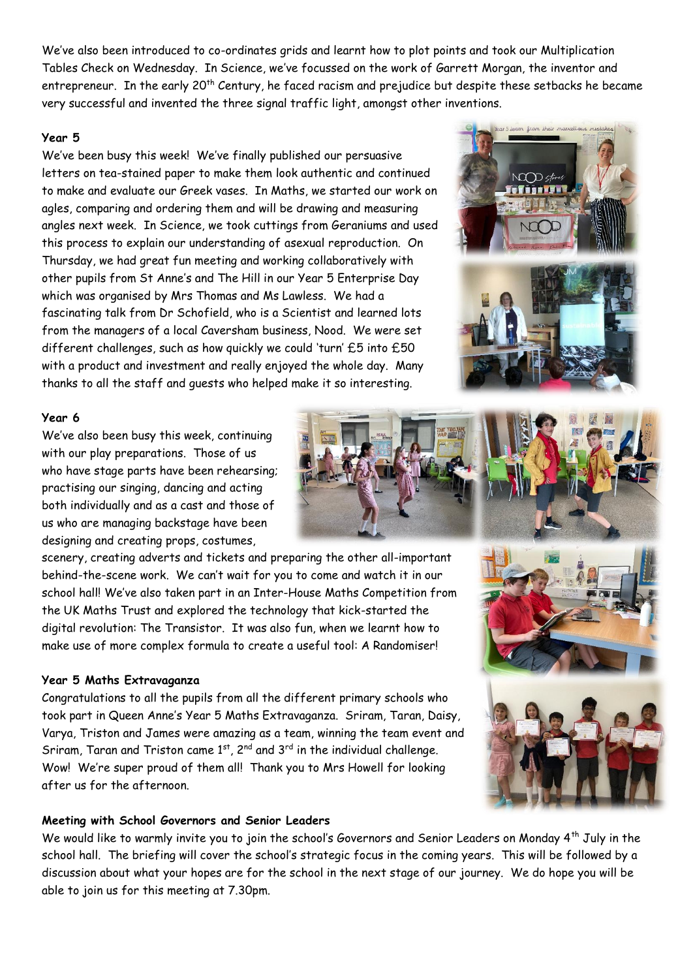We've also been introduced to co-ordinates grids and learnt how to plot points and took our Multiplication Tables Check on Wednesday. In Science, we've focussed on the work of Garrett Morgan, the inventor and entrepreneur. In the early 20<sup>th</sup> Century, he faced racism and prejudice but despite these setbacks he became very successful and invented the three signal traffic light, amongst other inventions.

#### **Year 5**

We've been busy this week! We've finally published our persuasive letters on tea-stained paper to make them look authentic and continued to make and evaluate our Greek vases. In Maths, we started our work on agles, comparing and ordering them and will be drawing and measuring angles next week. In Science, we took cuttings from Geraniums and used this process to explain our understanding of asexual reproduction. On Thursday, we had great fun meeting and working collaboratively with other pupils from St Anne's and The Hill in our Year 5 Enterprise Day which was organised by Mrs Thomas and Ms Lawless. We had a fascinating talk from Dr Schofield, who is a Scientist and learned lots from the managers of a local Caversham business, Nood. We were set different challenges, such as how quickly we could 'turn' £5 into £50 with a product and investment and really enjoyed the whole day. Many thanks to all the staff and guests who helped make it so interesting.



#### **Year 6**

We've also been busy this week, continuing with our play preparations. Those of us who have stage parts have been rehearsing; practising our singing, dancing and acting both individually and as a cast and those of us who are managing backstage have been designing and creating props, costumes,

scenery, creating adverts and tickets and preparing the other all-important behind-the-scene work. We can't wait for you to come and watch it in our school hall! We've also taken part in an Inter-House Maths Competition from the UK Maths Trust and explored the technology that kick-started the digital revolution: The Transistor. It was also fun, when we learnt how to make use of more complex formula to create a useful tool: A Randomiser!

#### **Year 5 Maths Extravaganza**

Congratulations to all the pupils from all the different primary schools who took part in Queen Anne's Year 5 Maths Extravaganza. Sriram, Taran, Daisy, Varya, Triston and James were amazing as a team, winning the team event and Sriram, Taran and Triston came  $1^{st}$ ,  $2^{nd}$  and  $3^{rd}$  in the individual challenge. Wow! We're super proud of them all! Thank you to Mrs Howell for looking after us for the afternoon.

# **Meeting with School Governors and Senior Leaders**

We would like to warmly invite you to join the school's Governors and Senior Leaders on Monday 4<sup>th</sup> July in the school hall. The briefing will cover the school's strategic focus in the coming years. This will be followed by a discussion about what your hopes are for the school in the next stage of our journey. We do hope you will be able to join us for this meeting at 7.30pm.